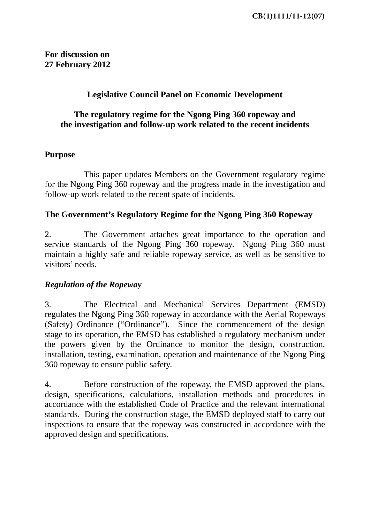**For discussion on 27 February 2012** 

## **Legislative Council Panel on Economic Development**

### **The regulatory regime for the Ngong Ping 360 ropeway and the investigation and follow-up work related to the recent incidents**

#### **Purpose**

This paper updates Members on the Government regulatory regime for the Ngong Ping 360 ropeway and the progress made in the investigation and follow-up work related to the recent spate of incidents.

### **The Government's Regulatory Regime for the Ngong Ping 360 Ropeway**

2. The Government attaches great importance to the operation and service standards of the Ngong Ping 360 ropeway. Ngong Ping 360 must maintain a highly safe and reliable ropeway service, as well as be sensitive to visitors' needs.

### *Regulation of the Ropeway*

3. The Electrical and Mechanical Services Department (EMSD) regulates the Ngong Ping 360 ropeway in accordance with the Aerial Ropeways (Safety) Ordinance ("Ordinance"). Since the commencement of the design stage to its operation, the EMSD has established a regulatory mechanism under the powers given by the Ordinance to monitor the design, construction, installation, testing, examination, operation and maintenance of the Ngong Ping 360 ropeway to ensure public safety.

4. Before construction of the ropeway, the EMSD approved the plans, design, specifications, calculations, installation methods and procedures in accordance with the established Code of Practice and the relevant international standards. During the construction stage, the EMSD deployed staff to carry out inspections to ensure that the ropeway was constructed in accordance with the approved design and specifications.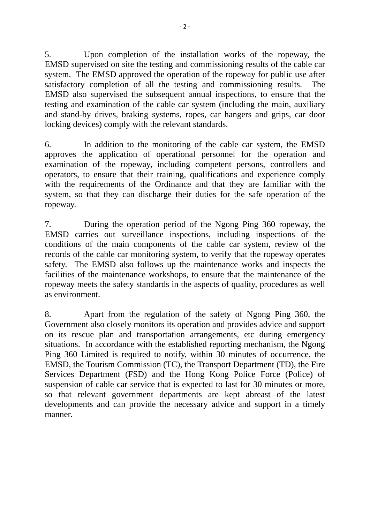5. Upon completion of the installation works of the ropeway, the EMSD supervised on site the testing and commissioning results of the cable car system. The EMSD approved the operation of the ropeway for public use after satisfactory completion of all the testing and commissioning results. The EMSD also supervised the subsequent annual inspections, to ensure that the testing and examination of the cable car system (including the main, auxiliary and stand-by drives, braking systems, ropes, car hangers and grips, car door locking devices) comply with the relevant standards.

6. In addition to the monitoring of the cable car system, the EMSD approves the application of operational personnel for the operation and examination of the ropeway, including competent persons, controllers and operators, to ensure that their training, qualifications and experience comply with the requirements of the Ordinance and that they are familiar with the system, so that they can discharge their duties for the safe operation of the ropeway.

7. During the operation period of the Ngong Ping 360 ropeway, the EMSD carries out surveillance inspections, including inspections of the conditions of the main components of the cable car system, review of the records of the cable car monitoring system, to verify that the ropeway operates safety. The EMSD also follows up the maintenance works and inspects the facilities of the maintenance workshops, to ensure that the maintenance of the ropeway meets the safety standards in the aspects of quality, procedures as well as environment.

8. Apart from the regulation of the safety of Ngong Ping 360, the Government also closely monitors its operation and provides advice and support on its rescue plan and transportation arrangements, etc during emergency situations. In accordance with the established reporting mechanism, the Ngong Ping 360 Limited is required to notify, within 30 minutes of occurrence, the EMSD, the Tourism Commission (TC), the Transport Department (TD), the Fire Services Department (FSD) and the Hong Kong Police Force (Police) of suspension of cable car service that is expected to last for 30 minutes or more, so that relevant government departments are kept abreast of the latest developments and can provide the necessary advice and support in a timely manner.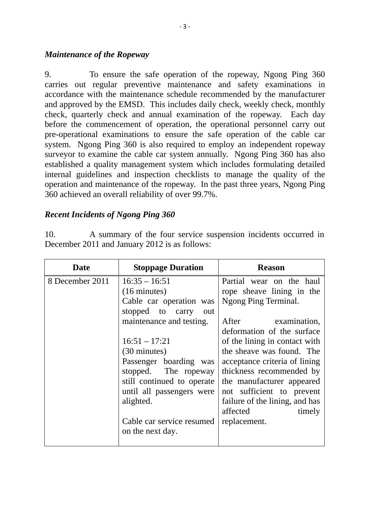#### *Maintenance of the Ropeway*

9. To ensure the safe operation of the ropeway, Ngong Ping 360 carries out regular preventive maintenance and safety examinations in accordance with the maintenance schedule recommended by the manufacturer and approved by the EMSD. This includes daily check, weekly check, monthly check, quarterly check and annual examination of the ropeway. Each day before the commencement of operation, the operational personnel carry out pre-operational examinations to ensure the safe operation of the cable car system. Ngong Ping 360 is also required to employ an independent ropeway surveyor to examine the cable car system annually. Ngong Ping 360 has also established a quality management system which includes formulating detailed internal guidelines and inspection checklists to manage the quality of the operation and maintenance of the ropeway. In the past three years, Ngong Ping 360 achieved an overall reliability of over 99.7%.

# *Recent Incidents of Ngong Ping 360*

10. A summary of the four service suspension incidents occurred in December 2011 and January 2012 is as follows:

| <b>Date</b>     | <b>Stoppage Duration</b>                                                                                                                                                                                                                       | <b>Reason</b>                                                                                                                                                                                                                                                                             |
|-----------------|------------------------------------------------------------------------------------------------------------------------------------------------------------------------------------------------------------------------------------------------|-------------------------------------------------------------------------------------------------------------------------------------------------------------------------------------------------------------------------------------------------------------------------------------------|
| 8 December 2011 | $16:35 - 16:51$<br>$(16 \text{ minutes})$<br>Cable car operation was<br>stopped to carry<br>out<br>maintenance and testing.<br>$16:51 - 17:21$<br>(30 minutes)<br>Passenger boarding was<br>stopped. The ropeway<br>still continued to operate | Partial wear on the haul<br>rope sheave lining in the<br>Ngong Ping Terminal.<br>After examination,<br>deformation of the surface<br>of the lining in contact with<br>the sheave was found. The<br>acceptance criteria of lining<br>thickness recommended by<br>the manufacturer appeared |
|                 | until all passengers were<br>alighted.<br>Cable car service resumed                                                                                                                                                                            | not sufficient to prevent<br>failure of the lining, and has<br>affected<br>timely<br>replacement.                                                                                                                                                                                         |
|                 | on the next day.                                                                                                                                                                                                                               |                                                                                                                                                                                                                                                                                           |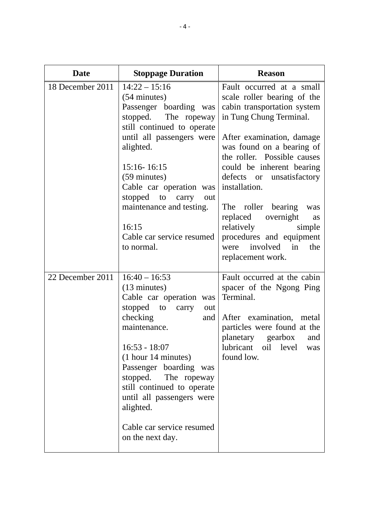| <b>Date</b>      | <b>Stoppage Duration</b>                                                                                                                                                                                                                                                                                                                                   | <b>Reason</b>                                                                                                                                                                                                                                                                                                                                      |
|------------------|------------------------------------------------------------------------------------------------------------------------------------------------------------------------------------------------------------------------------------------------------------------------------------------------------------------------------------------------------------|----------------------------------------------------------------------------------------------------------------------------------------------------------------------------------------------------------------------------------------------------------------------------------------------------------------------------------------------------|
| 18 December 2011 | $14:22 - 15:16$<br>(54 minutes)<br>Passenger boarding was<br>stopped.<br>The ropeway<br>still continued to operate<br>until all passengers were<br>alighted.<br>15:16-16:15<br>(59 minutes)<br>Cable car operation was<br>stopped to carry<br>out<br>maintenance and testing.                                                                              | Fault occurred at a small<br>scale roller bearing of the<br>cabin transportation system<br>in Tung Chung Terminal.<br>After examination, damage<br>was found on a bearing of<br>the roller. Possible causes<br>could be inherent bearing<br>defects or unsatisfactory<br>installation.<br>The roller bearing<br>was<br>overnight<br>replaced<br>as |
|                  | 16:15<br>Cable car service resumed<br>to normal.                                                                                                                                                                                                                                                                                                           | relatively<br>simple<br>procedures and equipment<br>involved in<br>the<br>were<br>replacement work.                                                                                                                                                                                                                                                |
| 22 December 2011 | $16:40 - 16:53$<br>$(13 \text{ minutes})$<br>Cable car operation was<br>stopped to carry<br>out<br>checking<br>and<br>maintenance.<br>$16:53 - 18:07$<br>(1 hour 14 minutes)<br>Passenger boarding was<br>stopped.<br>The ropeway<br>still continued to operate<br>until all passengers were<br>alighted.<br>Cable car service resumed<br>on the next day. | Fault occurred at the cabin<br>spacer of the Ngong Ping<br>Terminal.<br>After examination, metal<br>particles were found at the<br>planetary gearbox<br>and<br>lubricant oil level<br>was<br>found low.                                                                                                                                            |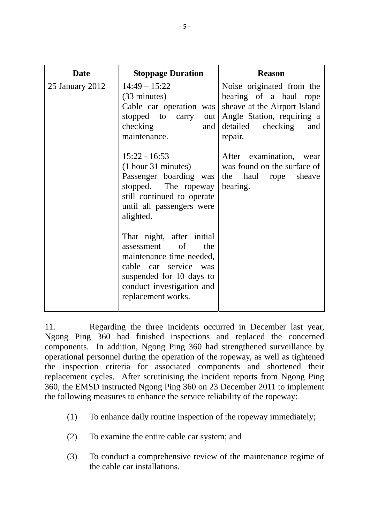| <b>Date</b>     | <b>Stoppage Duration</b>                                                                                                                                                                 | <b>Reason</b>                                                                                                                                            |
|-----------------|------------------------------------------------------------------------------------------------------------------------------------------------------------------------------------------|----------------------------------------------------------------------------------------------------------------------------------------------------------|
| 25 January 2012 | $14:49 - 15:22$<br>$(33 \text{ minutes})$<br>Cable car operation was<br>stopped to carry<br>out<br>checking<br>and<br>maintenance.                                                       | Noise originated from the<br>bearing of a haul rope<br>sheave at the Airport Island<br>Angle Station, requiring a<br>detailed checking<br>and<br>repair. |
|                 | $15:22 - 16:53$<br>(1 hour 31 minutes)<br>Passenger boarding was<br>stopped. The ropeway<br>still continued to operate<br>until all passengers were<br>alighted.                         | After examination, wear<br>was found on the surface of<br>the<br>haul rope<br>sheave<br>bearing.                                                         |
|                 | That night, after initial<br>assessment<br>of<br>the<br>maintenance time needed,<br>cable car service was<br>suspended for 10 days to<br>conduct investigation and<br>replacement works. |                                                                                                                                                          |

11. Regarding the three incidents occurred in December last year, Ngong Ping 360 had finished inspections and replaced the concerned components. In addition, Ngong Ping 360 had strengthened surveillance by operational personnel during the operation of the ropeway, as well as tightened the inspection criteria for associated components and shortened their replacement cycles. After scrutinising the incident reports from Ngong Ping 360, the EMSD instructed Ngong Ping 360 on 23 December 2011 to implement the following measures to enhance the service reliability of the ropeway:

- (1) To enhance daily routine inspection of the ropeway immediately;
- (2) To examine the entire cable car system; and
- (3) To conduct a comprehensive review of the maintenance regime of the cable car installations.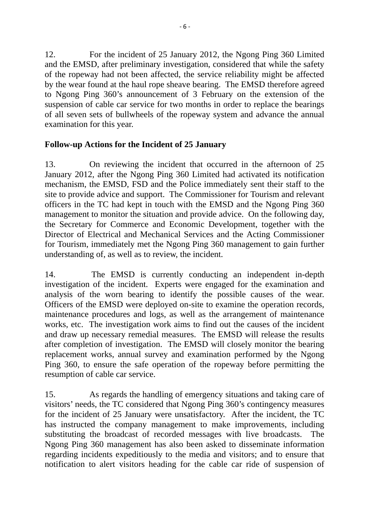12. For the incident of 25 January 2012, the Ngong Ping 360 Limited and the EMSD, after preliminary investigation, considered that while the safety of the ropeway had not been affected, the service reliability might be affected by the wear found at the haul rope sheave bearing. The EMSD therefore agreed to Ngong Ping 360's announcement of 3 February on the extension of the suspension of cable car service for two months in order to replace the bearings of all seven sets of bullwheels of the ropeway system and advance the annual examination for this year.

# **Follow-up Actions for the Incident of 25 January**

13. On reviewing the incident that occurred in the afternoon of 25 January 2012, after the Ngong Ping 360 Limited had activated its notification mechanism, the EMSD, FSD and the Police immediately sent their staff to the site to provide advice and support. The Commissioner for Tourism and relevant officers in the TC had kept in touch with the EMSD and the Ngong Ping 360 management to monitor the situation and provide advice. On the following day, the Secretary for Commerce and Economic Development, together with the Director of Electrical and Mechanical Services and the Acting Commissioner for Tourism, immediately met the Ngong Ping 360 management to gain further understanding of, as well as to review, the incident.

14. The EMSD is currently conducting an independent in-depth investigation of the incident. Experts were engaged for the examination and analysis of the worn bearing to identify the possible causes of the wear. Officers of the EMSD were deployed on-site to examine the operation records, maintenance procedures and logs, as well as the arrangement of maintenance works, etc. The investigation work aims to find out the causes of the incident and draw up necessary remedial measures. The EMSD will release the results after completion of investigation. The EMSD will closely monitor the bearing replacement works, annual survey and examination performed by the Ngong Ping 360, to ensure the safe operation of the ropeway before permitting the resumption of cable car service.

15. As regards the handling of emergency situations and taking care of visitors' needs, the TC considered that Ngong Ping 360's contingency measures for the incident of 25 January were unsatisfactory. After the incident, the TC has instructed the company management to make improvements, including substituting the broadcast of recorded messages with live broadcasts. The Ngong Ping 360 management has also been asked to disseminate information regarding incidents expeditiously to the media and visitors; and to ensure that notification to alert visitors heading for the cable car ride of suspension of